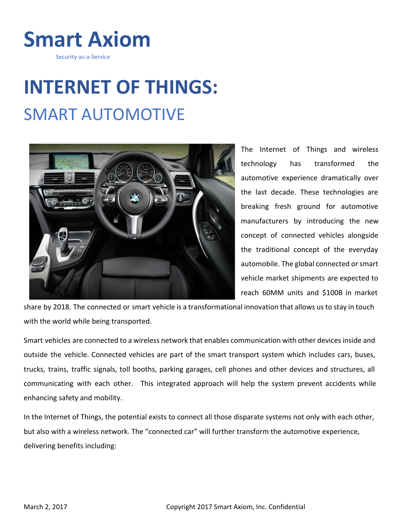

Security-as-a-Service

## **INTERNET OF THINGS:** SMART AUTOMOTIVE



The Internet of Things and wireless technology has transformed the automotive experience dramatically over the last decade. These technologies are breaking fresh ground for automotive manufacturers by introducing the new concept of connected vehicles alongside the traditional concept of the everyday automobile. The global connected or smart vehicle market shipments are expected to reach 60MM units and \$100B in market

share by 2018. The connected or smart vehicle is a transformational innovation that allows usto stay in touch with the world while being transported.

Smart vehicles are connected to a wireless network that enables communication with other devicesinside and outside the vehicle. Connected vehicles are part of the smart transport system which includes cars, buses, trucks, trains, traffic signals, toll booths, parking garages, cell phones and other devices and structures, all communicating with each other. This integrated approach will help the system prevent accidents while enhancing safety and mobility.

In the Internet of Things, the potential exists to connect all those disparate systems not only with each other, but also with a wireless network. The "connected car" will further transform the automotive experience, delivering benefits including: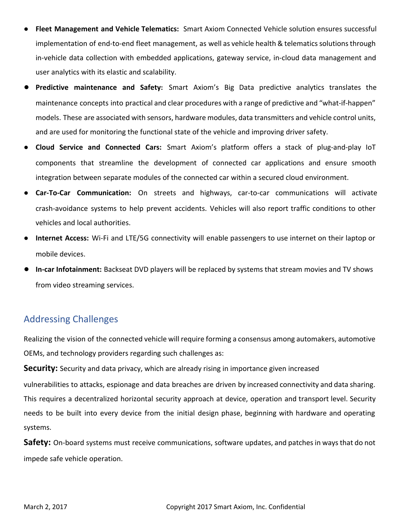- **● Fleet Management and Vehicle Telematics:** Smart Axiom Connected Vehicle solution ensures successful implementation of end-to-end fleet management, as well as vehicle health & telematics solutions through in-vehicle data collection with embedded applications, gateway service, in-cloud data management and user analytics with its elastic and scalability.
- **Predictive maintenance and Safety:** Smart Axiom's Big Data predictive analytics translates the maintenance concepts into practical and clear procedures with a range of predictive and "what-if-happen" models. These are associated with sensors, hardware modules, data transmitters and vehicle control units, and are used for monitoring the functional state of the vehicle and improving driver safety.
- **● Cloud Service and Connected Cars:** Smart Axiom's platform offers a stack of plug-and-play IoT components that streamline the development of connected car applications and ensure smooth integration between separate modules of the connected car within a secured cloud environment.
- **Car-To-Car Communication:** On streets and highways, car-to-car communications will activate crash-avoidance systems to help prevent accidents. Vehicles will also report traffic conditions to other vehicles and local authorities.
- **● Internet Access:** Wi-Fi and LTE/5G connectivity will enable passengers to use internet on their laptop or mobile devices.
- **In-car Infotainment:** Backseat DVD players will be replaced by systems that stream movies and TV shows from video streaming services.

## Addressing Challenges

Realizing the vision of the connected vehicle will require forming a consensus among automakers, automotive OEMs, and technology providers regarding such challenges as:

**Security:** Security and data privacy, which are already rising in importance given increased vulnerabilities to attacks, espionage and data breaches are driven by increased connectivity and data sharing. This requires a decentralized horizontal security approach at device, operation and transport level. Security needs to be built into every device from the initial design phase, beginning with hardware and operating systems.

**Safety:** On-board systems must receive communications, software updates, and patches in ways that do not impede safe vehicle operation.